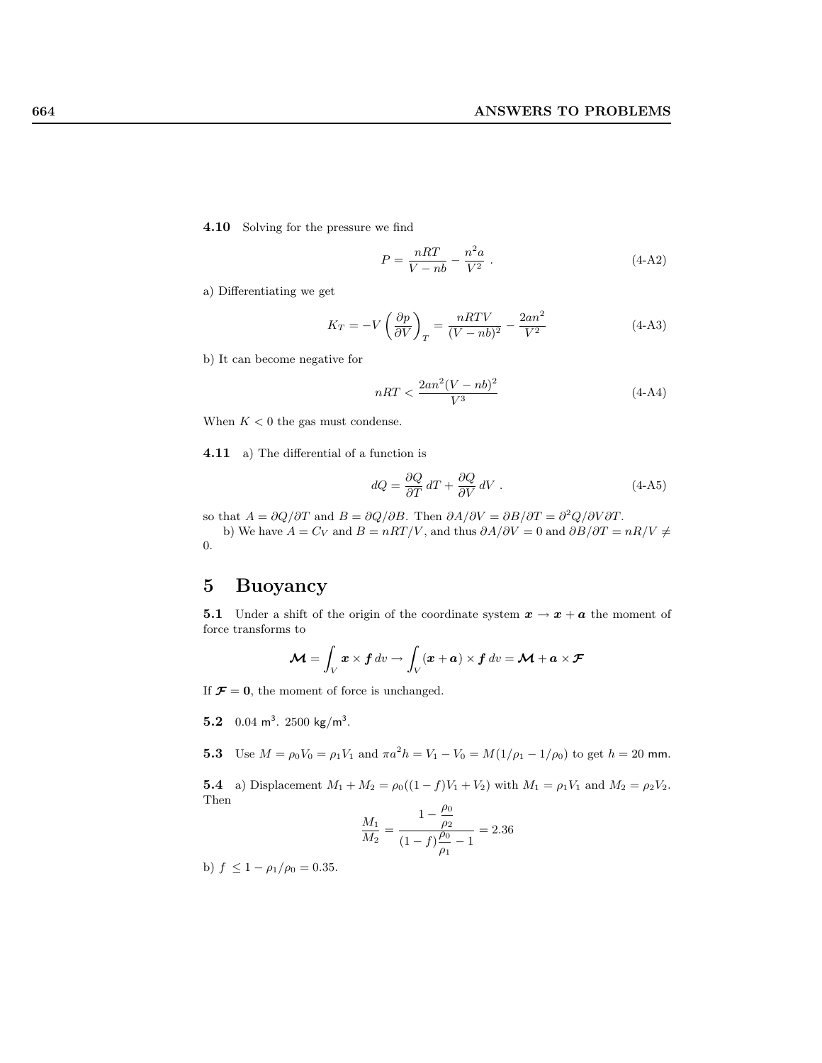4.10 Solving for the pressure we find

$$
P = \frac{nRT}{V - nb} - \frac{n^2a}{V^2} \tag{4-A2}
$$

a) Differentiating we get

$$
K_T = -V \left(\frac{\partial p}{\partial V}\right)_T = \frac{nRTV}{(V - nb)^2} - \frac{2an^2}{V^2}
$$
\n(4-A3)

b) It can become negative for

$$
nRT < \frac{2an^2(V - nb)^2}{V^3} \tag{4-A4}
$$

When  $K < 0$  the gas must condense.

4.11 a) The differential of a function is

$$
dQ = \frac{\partial Q}{\partial T} dT + \frac{\partial Q}{\partial V} dV \tag{4-A5}
$$

so that  $A = \partial Q/\partial T$  and  $B = \partial Q/\partial B$ . Then  $\partial A/\partial V = \partial B/\partial T = \partial^2 Q/\partial V \partial T$ . b) We have  $A = C_V$  and  $B = nRT/V$ , and thus  $\partial A/\partial V = 0$  and  $\partial B/\partial T = nR/V \neq$ 0.

## 5 Buoyancy

**5.1** Under a shift of the origin of the coordinate system  $x \to x + a$  the moment of force transforms to

$$
\mathcal{M} = \int_{V} x \times f \, dv \to \int_{V} (x + a) \times f \, dv = \mathcal{M} + a \times \mathcal{F}
$$

If  $\mathcal{F} = 0$ , the moment of force is unchanged.

- 5.2  $0.04 \text{ m}^3$ . 2500 kg/m<sup>3</sup>.
- **5.3** Use  $M = \rho_0 V_0 = \rho_1 V_1$  and  $\pi a^2 h = V_1 V_0 = M(1/\rho_1 1/\rho_0)$  to get  $h = 20$  mm.

**5.4** a) Displacement  $M_1 + M_2 = \rho_0((1 - f)V_1 + V_2)$  with  $M_1 = \rho_1 V_1$  and  $M_2 = \rho_2 V_2$ . Then  $\rho_0$ 

$$
\frac{M_1}{M_2} = \frac{1 - \frac{\rho_0}{\rho_2}}{(1 - f)\frac{\rho_0}{\rho_1} - 1} = 2.36
$$

b)  $f \leq 1 - \rho_1/\rho_0 = 0.35$ .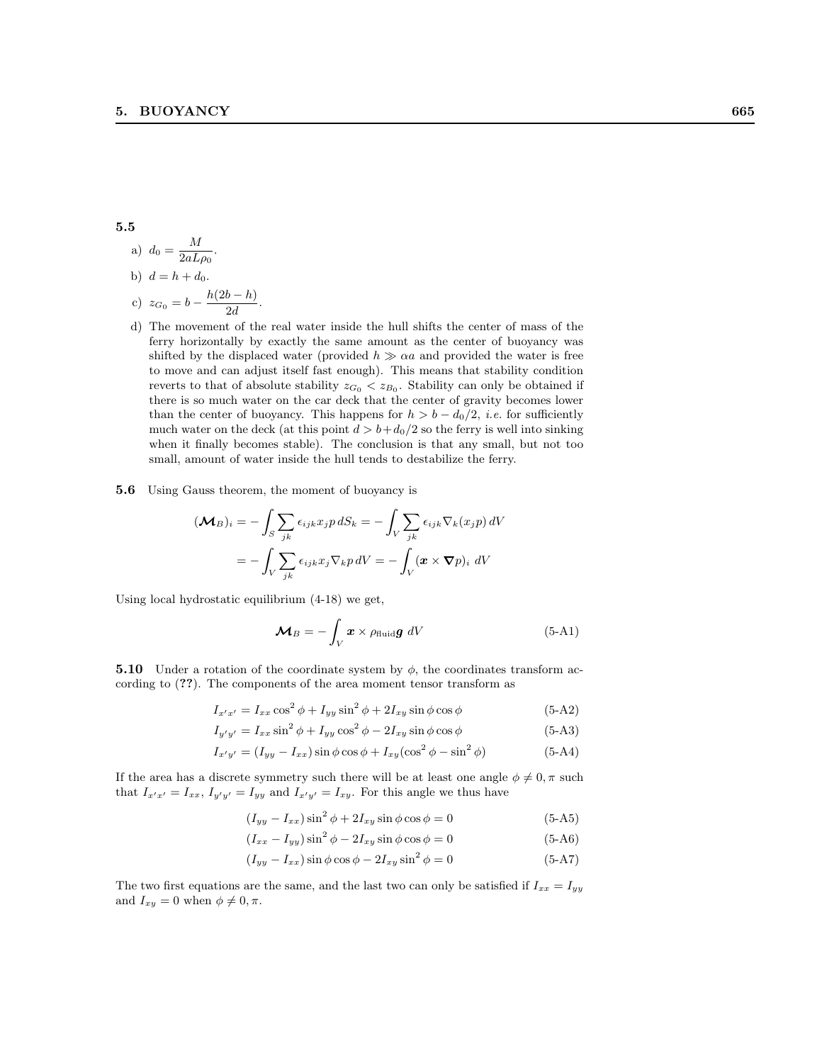5.5

a) 
$$
d_0 = \frac{M}{2aL\rho_0}
$$
.  
b)  $d = h + d_0$ .  
c)  $z_{G_0} = b - \frac{h(2b - h)}{2d}$ .

 $\overline{M}$ 

- d) The movement of the real water inside the hull shifts the center of mass of the ferry horizontally by exactly the same amount as the center of buoyancy was shifted by the displaced water (provided  $h \gg \alpha a$  and provided the water is free to move and can adjust itself fast enough). This means that stability condition reverts to that of absolute stability  $z_{G_0} < z_{B_0}$ . Stability can only be obtained if there is so much water on the car deck that the center of gravity becomes lower than the center of buoyancy. This happens for  $h > b - d_0/2$ , *i.e.* for sufficiently much water on the deck (at this point  $d > b + d_0/2$  so the ferry is well into sinking when it finally becomes stable). The conclusion is that any small, but not too small, amount of water inside the hull tends to destabilize the ferry.
- 5.6 Using Gauss theorem, the moment of buoyancy is

$$
(\mathbf{M}_B)_i = -\int_S \sum_{jk} \epsilon_{ijk} x_j p \, dS_k = -\int_V \sum_{jk} \epsilon_{ijk} \nabla_k (x_j p) \, dV
$$

$$
= -\int_V \sum_{jk} \epsilon_{ijk} x_j \nabla_k p \, dV = -\int_V (\mathbf{x} \times \nabla p)_i \, dV
$$

Using local hydrostatic equilibrium (4-18) we get,

$$
\mathcal{M}_B = -\int_V \boldsymbol{x} \times \rho_{\text{fluid}} \boldsymbol{g} \ dV \qquad (5\text{-}A1)
$$

**5.10** Under a rotation of the coordinate system by  $\phi$ , the coordinates transform according to (??). The components of the area moment tensor transform as

$$
I_{x'x'} = I_{xx}\cos^2\phi + I_{yy}\sin^2\phi + 2I_{xy}\sin\phi\cos\phi \tag{5-A2}
$$

$$
I_{y'y'} = I_{xx} \sin^2 \phi + I_{yy} \cos^2 \phi - 2I_{xy} \sin \phi \cos \phi
$$
 (5-A3)

$$
I_{x'y'} = (I_{yy} - I_{xx})\sin\phi\cos\phi + I_{xy}(\cos^2\phi - \sin^2\phi)
$$
 (5-A4)

If the area has a discrete symmetry such there will be at least one angle  $\phi \neq 0, \pi$  such that  $I_{x'x'} = I_{xx}, I_{y'y'} = I_{yy}$  and  $I_{x'y'} = I_{xy}$ . For this angle we thus have

$$
(I_{yy} - I_{xx})\sin^2\phi + 2I_{xy}\sin\phi\cos\phi = 0
$$
 (5-A5)

$$
(I_{xx} - I_{yy})\sin^2\phi - 2I_{xy}\sin\phi\cos\phi = 0
$$
\n(5-A6)

$$
(I_{yy} - I_{xx})\sin\phi\cos\phi - 2I_{xy}\sin^2\phi = 0
$$
\n(5-A7)

The two first equations are the same, and the last two can only be satisfied if  $I_{xx} = I_{yy}$ and  $I_{xy} = 0$  when  $\phi \neq 0, \pi$ .